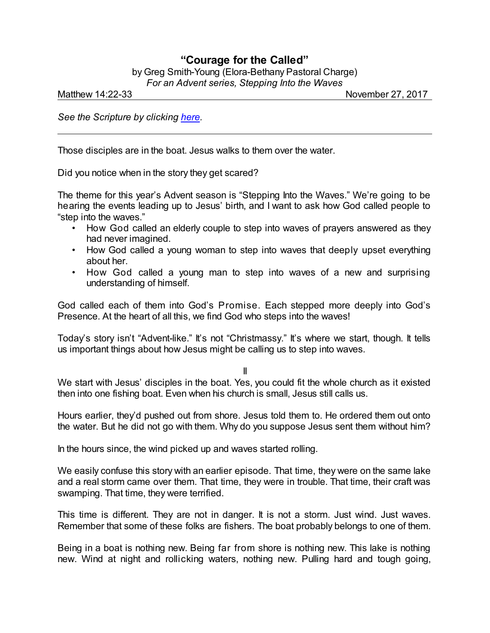## **"Courage for the Called"**

by Greg Smith-Young (Elora-Bethany Pastoral Charge) *For an Advent series, Stepping Into the Waves*

Matthew 14:22-33 **November 27, 2017** 

*See the Scripture by clicking [here](https://www.biblegateway.com/passage/?search=Matthew+14%3A22-33&version=CEB).*

Those disciples are in the boat. Jesus walks to them over the water.

Did you notice when in the story they get scared?

The theme for this year's Advent season is "Stepping Into the Waves." We're going to be hearing the events leading up to Jesus' birth, and I want to ask how God called people to "step into the waves."

- How God called an elderly couple to step into waves of prayers answered as they had never imagined.
- How God called a young woman to step into waves that deeply upset everything about her.
- How God called a young man to step into waves of a new and surprising understanding of himself.

God called each of them into God's Promise. Each stepped more deeply into God's Presence. At the heart of all this, we find God who steps into the waves!

Today's story isn't "Advent-like." It's not "Christmassy." It's where we start, though. It tells us important things about how Jesus might be calling us to step into waves.

II

We start with Jesus' disciples in the boat. Yes, you could fit the whole church as it existed then into one fishing boat. Even when his church is small, Jesus still calls us.

Hours earlier, they'd pushed out from shore. Jesus told them to. He ordered them out onto the water. But he did not go with them. Why do you suppose Jesus sent them without him?

In the hours since, the wind picked up and waves started rolling.

We easily confuse this story with an earlier episode. That time, they were on the same lake and a real storm came over them. That time, they were in trouble. That time, their craft was swamping. That time, they were terrified.

This time is different. They are not in danger. It is not a storm. Just wind. Just waves. Remember that some of these folks are fishers. The boat probably belongs to one of them.

Being in a boat is nothing new. Being far from shore is nothing new. This lake is nothing new. Wind at night and rollicking waters, nothing new. Pulling hard and tough going,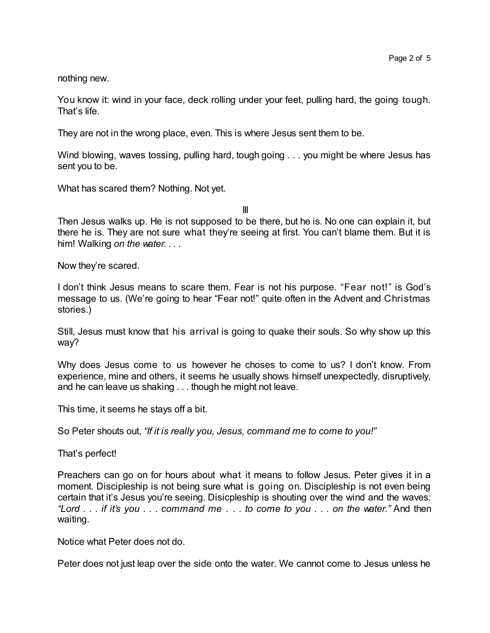nothing new.

You know it: wind in your face, deck rolling under your feet, pulling hard, the going tough. That's life.

They are not in the wrong place, even. This is where Jesus sent them to be.

Wind blowing, waves tossing, pulling hard, tough going . . . you might be where Jesus has sent you to be.

What has scared them? Nothing. Not yet.

III

Then Jesus walks up. He is not supposed to be there, but he is. No one can explain it, but there he is. They are not sure what they're seeing at first. You can't blame them. But it is him! Walking *on the water. . . .*

Now they're scared.

I don't think Jesus means to scare them. Fear is not his purpose. "Fear not!" is God's message to us. (We're going to hear "Fear not!" quite often in the Advent and Christmas stories.)

Still, Jesus must know that his arrival is going to quake their souls. So why show up this way?

Why does Jesus come to us however he choses to come to us? I don't know. From experience, mine and others, it seems he usually shows himself unexpectedly, disruptively, and he can leave us shaking . . . though he might not leave.

This time, it seems he stays off a bit.

So Peter shouts out, *"If it is really you, Jesus, command me to come to you!"*

That's perfect!

Preachers can go on for hours about what it means to follow Jesus. Peter gives it in a moment. Discipleship is not being sure what is going on. Discipleship is not even being certain that it's Jesus you're seeing. Disicpleship is shouting over the wind and the waves: *"Lord . . . if it's you . . . command me . . . to come to you . . . on the water."* And then waiting.

Notice what Peter does not do.

Peter does not just leap over the side onto the water. We cannot come to Jesus unless he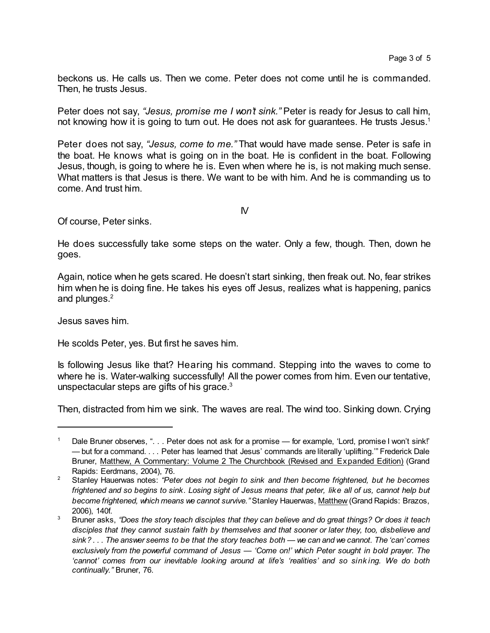beckons us. He calls us. Then we come. Peter does not come until he is commanded. Then, he trusts Jesus.

Peter does not say, *"Jesus, promise me I won't sink."* Peter is ready for Jesus to call him, not knowing how it is going to turn out. He does not ask for guarantees. He trusts Jesus.<sup>1</sup>

Peter does not say, *"Jesus, come to me."* That would have made sense. Peter is safe in the boat. He knows what is going on in the boat. He is confident in the boat. Following Jesus, though, is going to where he is. Even when where he is, is not making much sense. What matters is that Jesus is there. We want to be with him. And he is commanding us to come. And trust him.

 $\mathsf{N}$ 

Of course, Peter sinks.

He does successfully take some steps on the water. Only a few, though. Then, down he goes.

Again, notice when he gets scared. He doesn't start sinking, then freak out. No, fear strikes him when he is doing fine. He takes his eyes off Jesus, realizes what is happening, panics and plunges.<sup>2</sup>

Jesus saves him.

He scolds Peter, yes. But first he saves him.

Is following Jesus like that? Hearing his command. Stepping into the waves to come to where he is. Water-walking successfully! All the power comes from him. Even our tentative, unspectacular steps are gifts of his grace. $3$ 

Then, distracted from him we sink. The waves are real. The wind too. Sinking down. Crying

Dale Bruner observes, ". . . Peter does not ask for a promise — for example, 'Lord, promise I won't sink!' — but for a command. . . . Peter has learned that Jesus' commands are literally 'uplifting.'" Frederick Dale Bruner, Matthew, A Commentary: Volume 2 The Churchbook (Revised and Expanded Edition) (Grand Rapids: Eerdmans, 2004), 76.

<sup>2</sup> Stanley Hauerwas notes: *"Peter does not begin to sink and then become frightened, but he becomes* frightened and so begins to sink. Losing sight of Jesus means that peter, like all of us, cannot help but *become frightened, which means we cannot survive."* Stanley Hauerwas, Matthew (Grand Rapids: Brazos, 2006), 140f.

<sup>&</sup>lt;sup>3</sup> Bruner asks, "Does the story teach disciples that they can believe and do great things? Or does it teach *disciples that they cannot sustain faith by themselves and that sooner or later they, too, disbelieve and* sink?... The answer seems to be that the story teaches both — we can and we cannot. The 'can' comes *exclusively from the powerful command of Jesus — 'Come on!' which Peter sought in bold prayer. The 'cannot' comes from our inevitable looking around at life's 'realities' and so sink ing. We do both continually."* Bruner, 76.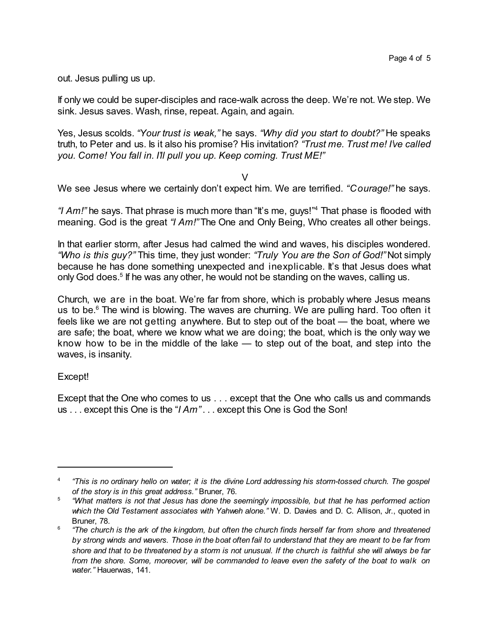out. Jesus pulling us up.

If only we could be super-disciples and race-walk across the deep. We're not. We step. We sink. Jesus saves. Wash, rinse, repeat. Again, and again.

Yes, Jesus scolds. *"Your trust is weak,"* he says. *"Why did you start to doubt?"* He speaks truth, to Peter and us. Is it also his promise? His invitation? *"Trust me. Trust me! I've called you. Come! You fall in. I'll pull you up. Keep coming. Trust ME!"*

 $\vee$ 

We see Jesus where we certainly don't expect him. We are terrified. *"Courage!"* he says.

"I Am!" he says. That phrase is much more than "It's me, guys!"<sup>4</sup> That phase is flooded with meaning. God is the great *"I Am!"* The One and Only Being, Who creates all other beings.

In that earlier storm, after Jesus had calmed the wind and waves, his disciples wondered. *"Who is this guy?"* This time, they just wonder: *"Truly You are the Son of God!"* Not simply because he has done something unexpected and inexplicable. It's that Jesus does what only God does.<sup>5</sup> If he was any other, he would not be standing on the waves, calling us.

Church, we are in the boat. We're far from shore, which is probably where Jesus means us to be. $6$  The wind is blowing. The waves are churning. We are pulling hard. Too often it feels like we are not getting anywhere. But to step out of the boat — the boat, where we are safe; the boat, where we know what we are doing; the boat, which is the only way we know how to be in the middle of the lake — to step out of the boat, and step into the waves, is insanity.

## Except!

Except that the One who comes to us . . . except that the One who calls us and commands us . . . except this One is the "*I Am"* . . . except this One is God the Son!

<sup>4</sup> "This is no ordinary hello on water; it is the divine Lord addressing his storm-tossed church. The gospel *of the story is in this great address."* Bruner, 76.

<sup>5</sup> *"What matters is not that Jesus has done the seemingly impossible, but that he has performed action which the Old Testament associates with Yahweh alone."* W. D. Davies and D. C. Allison, Jr., quoted in Bruner, 78.

<sup>6</sup> "The church is the ark of the kingdom, but often the church finds herself far from shore and threatened by strong winds and wavers. Those in the boat often fail to understand that they are meant to be far from shore and that to be threatened by a storm is not unusual. If the church is faithful she will always be far *from the shore. Some, moreover, will be commanded to leave even the safety of the boat to walk on water."* Hauerwas, 141.